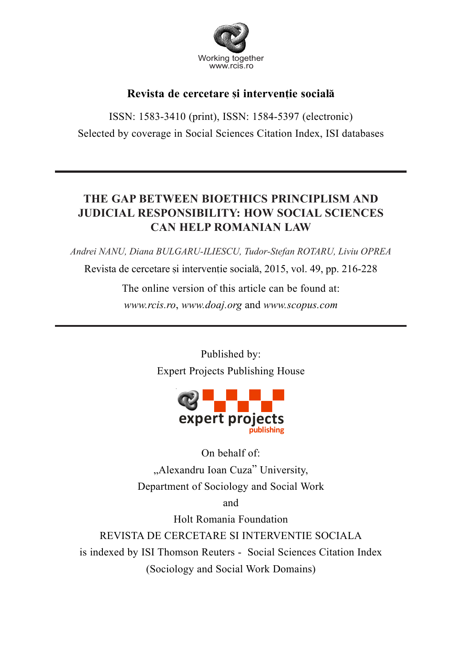

# Revista de cercetare și interventie socială

ISSN: 1583-3410 (print), ISSN: 1584-5397 (electronic) Selected by coverage in Social Sciences Citation Index, ISI databases

# **THE GAP BETWEEN BIOETHICS PRINCIPLISM AND JUDICIAL RESPONSIBILITY: HOW SOCIAL SCIENCES CAN HELP ROMANIAN LAW**

*Andrei NANU, Diana BULGARU-ILIESCU, Tudor-Stefan ROTARU, Liviu OPREA*

Revista de cercetare si interventie socială, 2015, vol. 49, pp. 216-228

The online version of this article can be found at: *www.rcis.ro*, *www.doaj.org* and *www.scopus.com*

> Published by: Expert Projects Publishing House



On behalf of: "Alexandru Ioan Cuza" University, Department of Sociology and Social Work

and

Holt Romania Foundation

REVISTA DE CERCETARE SI INTERVENTIE SOCIALA is indexed by ISI Thomson Reuters - Social Sciences Citation Index (Sociology and Social Work Domains)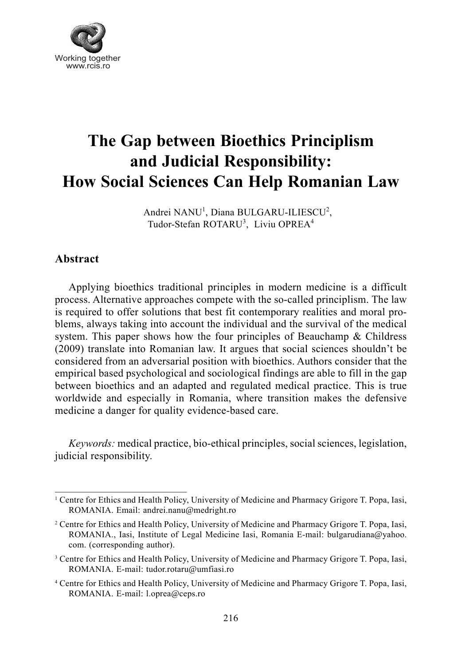

# **The Gap between Bioethics Principlism and Judicial Responsibility: How Social Sciences Can Help Romanian Law**

Andrei NANU<sup>1</sup>, Diana BULGARU-ILIESCU<sup>2</sup>, Tudor-Stefan ROTARU<sup>3</sup>, Liviu OPREA<sup>4</sup>

## **Abstract**

Applying bioethics traditional principles in modern medicine is a difficult process. Alternative approaches compete with the so-called principlism. The law is required to offer solutions that best fit contemporary realities and moral problems, always taking into account the individual and the survival of the medical system. This paper shows how the four principles of Beauchamp  $\&$  Childress (2009) translate into Romanian law. It argues that social sciences shouldn't be considered from an adversarial position with bioethics. Authors consider that the empirical based psychological and sociological findings are able to fill in the gap between bioethics and an adapted and regulated medical practice. This is true worldwide and especially in Romania, where transition makes the defensive medicine a danger for quality evidence-based care.

*Keywords:* medical practice, bio-ethical principles, social sciences, legislation, judicial responsibility.

<sup>&</sup>lt;sup>1</sup> Centre for Ethics and Health Policy, University of Medicine and Pharmacy Grigore T. Popa, Iasi, ROMANIA. Email: andrei.nanu@medright.ro

<sup>&</sup>lt;sup>2</sup> Centre for Ethics and Health Policy, University of Medicine and Pharmacy Grigore T. Popa, Iasi, ROMANIA., Iasi, Institute of Legal Medicine Iasi, Romania E-mail: bulgarudiana@yahoo. com. (corresponding author).

<sup>&</sup>lt;sup>3</sup> Centre for Ethics and Health Policy, University of Medicine and Pharmacy Grigore T. Popa, Iasi, ROMANIA. E-mail: tudor.rotaru@umfiasi.ro

<sup>4</sup> Centre for Ethics and Health Policy, University of Medicine and Pharmacy Grigore T. Popa, Iasi, ROMANIA. E-mail: l.oprea@ceps.ro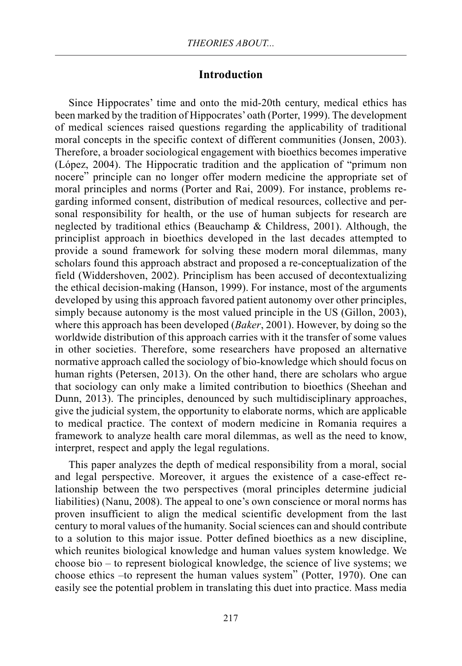#### **Introduction**

Since Hippocrates' time and onto the mid-20th century, medical ethics has been marked by the tradition of Hippocrates' oath (Porter, 1999). The development of medical sciences raised questions regarding the applicability of traditional moral concepts in the specific context of different communities (Jonsen, 2003). Therefore, a broader sociological engagement with bioethics becomes imperative (López, 2004). The Hippocratic tradition and the application of "primum non nocere" principle can no longer offer modern medicine the appropriate set of moral principles and norms (Porter and Rai, 2009). For instance, problems regarding informed consent, distribution of medical resources, collective and personal responsibility for health, or the use of human subjects for research are neglected by traditional ethics (Beauchamp & Childress, 2001). Although, the principlist approach in bioethics developed in the last decades attempted to provide a sound framework for solving these modern moral dilemmas, many scholars found this approach abstract and proposed a re-conceptualization of the field (Widdershoven, 2002). Principlism has been accused of decontextualizing the ethical decision-making (Hanson, 1999). For instance, most of the arguments developed by using this approach favored patient autonomy over other principles, simply because autonomy is the most valued principle in the US (Gillon, 2003), where this approach has been developed (*Baker*, 2001). However, by doing so the worldwide distribution of this approach carries with it the transfer of some values in other societies. Therefore, some researchers have proposed an alternative normative approach called the sociology of bio-knowledge which should focus on human rights (Petersen, 2013). On the other hand, there are scholars who argue that sociology can only make a limited contribution to bioethics (Sheehan and Dunn, 2013). The principles, denounced by such multidisciplinary approaches, give the judicial system, the opportunity to elaborate norms, which are applicable to medical practice. The context of modern medicine in Romania requires a framework to analyze health care moral dilemmas, as well as the need to know, interpret, respect and apply the legal regulations.

This paper analyzes the depth of medical responsibility from a moral, social and legal perspective. Moreover, it argues the existence of a case-effect relationship between the two perspectives (moral principles determine judicial liabilities) (Nanu, 2008). The appeal to one's own conscience or moral norms has proven insufficient to align the medical scientific development from the last century to moral values of the humanity. Social sciences can and should contribute to a solution to this major issue. Potter defined bioethics as a new discipline, which reunites biological knowledge and human values system knowledge. We choose bio – to represent biological knowledge, the science of live systems; we choose ethics –to represent the human values system" (Potter, 1970). One can easily see the potential problem in translating this duet into practice. Mass media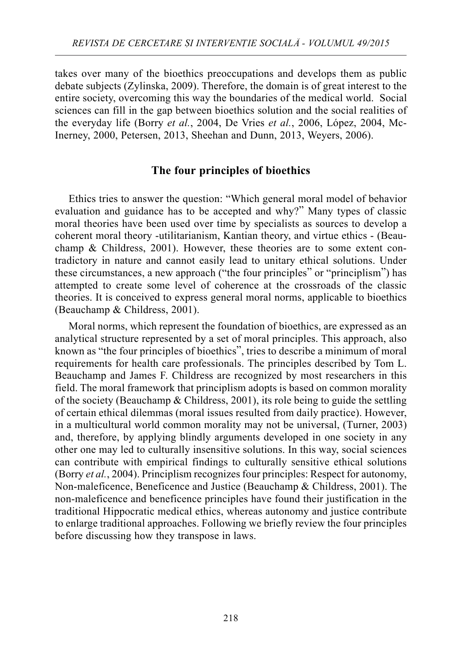takes over many of the bioethics preoccupations and develops them as public debate subjects (Zylinska, 2009). Therefore, the domain is of great interest to the entire society, overcoming this way the boundaries of the medical world. Social sciences can fill in the gap between bioethics solution and the social realities of the everyday life (Borry *et al.*, 2004, De Vries *et al.*, 2006, López, 2004, Mc-Inerney, 2000, Petersen, 2013, Sheehan and Dunn, 2013, Weyers, 2006).

## **The four principles of bioethics**

Ethics tries to answer the question: "Which general moral model of behavior evaluation and guidance has to be accepted and why?" Many types of classic moral theories have been used over time by specialists as sources to develop a coherent moral theory -utilitarianism, Kantian theory, and virtue ethics - (Beauchamp & Childress, 2001). However, these theories are to some extent contradictory in nature and cannot easily lead to unitary ethical solutions. Under these circumstances, a new approach ("the four principles" or "principlism") has attempted to create some level of coherence at the crossroads of the classic theories. It is conceived to express general moral norms, applicable to bioethics (Beauchamp & Childress, 2001).

Moral norms, which represent the foundation of bioethics, are expressed as an analytical structure represented by a set of moral principles. This approach, also known as "the four principles of bioethics", tries to describe a minimum of moral requirements for health care professionals. The principles described by Tom L. Beauchamp and James F. Childress are recognized by most researchers in this field. The moral framework that principlism adopts is based on common morality of the society (Beauchamp  $\&$  Childress, 2001), its role being to guide the settling of certain ethical dilemmas (moral issues resulted from daily practice). However, in a multicultural world common morality may not be universal, (Turner, 2003) and, therefore, by applying blindly arguments developed in one society in any other one may led to culturally insensitive solutions. In this way, social sciences can contribute with empirical findings to culturally sensitive ethical solutions (Borry *et al.*, 2004). Principlism recognizes four principles: Respect for autonomy, Non-maleficence, Beneficence and Justice (Beauchamp & Childress, 2001). The non-maleficence and beneficence principles have found their justification in the traditional Hippocratic medical ethics, whereas autonomy and justice contribute to enlarge traditional approaches. Following we briefly review the four principles before discussing how they transpose in laws.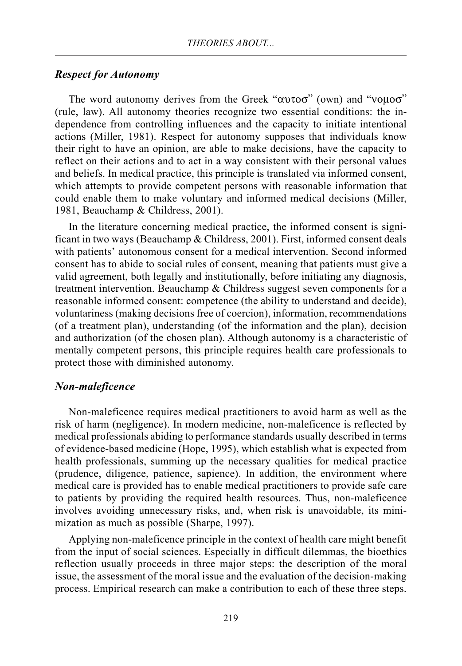#### *Respect for Autonomy*

The word autonomy derives from the Greek " $\alpha$ υτοσ" (own) and "νομοσ" (rule, law). All autonomy theories recognize two essential conditions: the independence from controlling influences and the capacity to initiate intentional actions (Miller, 1981). Respect for autonomy supposes that individuals know their right to have an opinion, are able to make decisions, have the capacity to reflect on their actions and to act in a way consistent with their personal values and beliefs. In medical practice, this principle is translated via informed consent, which attempts to provide competent persons with reasonable information that could enable them to make voluntary and informed medical decisions (Miller, 1981, Beauchamp & Childress, 2001).

In the literature concerning medical practice, the informed consent is significant in two ways (Beauchamp & Childress, 2001). First, informed consent deals with patients' autonomous consent for a medical intervention. Second informed consent has to abide to social rules of consent, meaning that patients must give a valid agreement, both legally and institutionally, before initiating any diagnosis, treatment intervention. Beauchamp & Childress suggest seven components for a reasonable informed consent: competence (the ability to understand and decide), voluntariness (making decisions free of coercion), information, recommendations (of a treatment plan), understanding (of the information and the plan), decision and authorization (of the chosen plan). Although autonomy is a characteristic of mentally competent persons, this principle requires health care professionals to protect those with diminished autonomy.

#### *Non-maleficence*

Non-maleficence requires medical practitioners to avoid harm as well as the risk of harm (negligence). In modern medicine, non-maleficence is reflected by medical professionals abiding to performance standards usually described in terms of evidence-based medicine (Hope, 1995), which establish what is expected from health professionals, summing up the necessary qualities for medical practice (prudence, diligence, patience, sapience). In addition, the environment where medical care is provided has to enable medical practitioners to provide safe care to patients by providing the required health resources. Thus, non-maleficence involves avoiding unnecessary risks, and, when risk is unavoidable, its minimization as much as possible (Sharpe, 1997).

Applying non-maleficence principle in the context of health care might benefit from the input of social sciences. Especially in difficult dilemmas, the bioethics reflection usually proceeds in three major steps: the description of the moral issue, the assessment of the moral issue and the evaluation of the decision-making process. Empirical research can make a contribution to each of these three steps.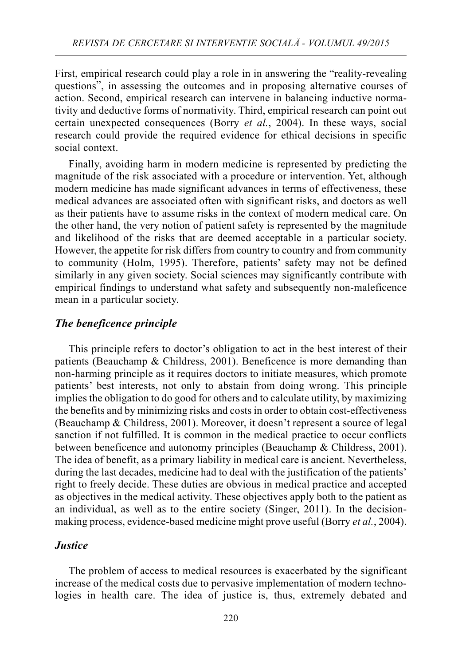First, empirical research could play a role in in answering the "reality-revealing questions", in assessing the outcomes and in proposing alternative courses of action. Second, empirical research can intervene in balancing inductive normativity and deductive forms of normativity. Third, empirical research can point out certain unexpected consequences (Borry *et al.*, 2004). In these ways, social research could provide the required evidence for ethical decisions in specific social context.

Finally, avoiding harm in modern medicine is represented by predicting the magnitude of the risk associated with a procedure or intervention. Yet, although modern medicine has made significant advances in terms of effectiveness, these medical advances are associated often with significant risks, and doctors as well as their patients have to assume risks in the context of modern medical care. On the other hand, the very notion of patient safety is represented by the magnitude and likelihood of the risks that are deemed acceptable in a particular society. However, the appetite for risk differs from country to country and from community to community (Holm, 1995). Therefore, patients' safety may not be defined similarly in any given society. Social sciences may significantly contribute with empirical findings to understand what safety and subsequently non-maleficence mean in a particular society.

## *The beneficence principle*

This principle refers to doctor's obligation to act in the best interest of their patients (Beauchamp & Childress, 2001). Beneficence is more demanding than non-harming principle as it requires doctors to initiate measures, which promote patients' best interests, not only to abstain from doing wrong. This principle implies the obligation to do good for others and to calculate utility, by maximizing the benefits and by minimizing risks and costs in order to obtain cost-effectiveness (Beauchamp & Childress, 2001). Moreover, it doesn't represent a source of legal sanction if not fulfilled. It is common in the medical practice to occur conflicts between beneficence and autonomy principles (Beauchamp & Childress, 2001). The idea of benefit, as a primary liability in medical care is ancient. Nevertheless, during the last decades, medicine had to deal with the justification of the patients' right to freely decide. These duties are obvious in medical practice and accepted as objectives in the medical activity. These objectives apply both to the patient as an individual, as well as to the entire society (Singer, 2011). In the decisionmaking process, evidence-based medicine might prove useful (Borry *et al.*, 2004).

#### *Justice*

The problem of access to medical resources is exacerbated by the significant increase of the medical costs due to pervasive implementation of modern technologies in health care. The idea of justice is, thus, extremely debated and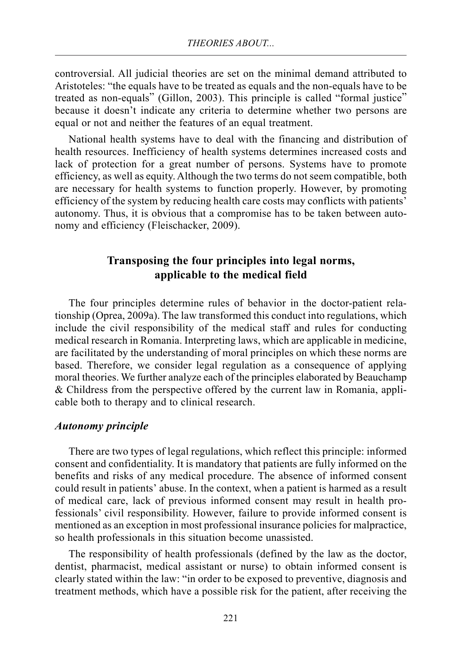controversial. All judicial theories are set on the minimal demand attributed to Aristoteles: "the equals have to be treated as equals and the non-equals have to be treated as non-equals" (Gillon, 2003). This principle is called "formal justice" because it doesn't indicate any criteria to determine whether two persons are equal or not and neither the features of an equal treatment.

National health systems have to deal with the financing and distribution of health resources. Inefficiency of health systems determines increased costs and lack of protection for a great number of persons. Systems have to promote efficiency, as well as equity. Although the two terms do not seem compatible, both are necessary for health systems to function properly. However, by promoting efficiency of the system by reducing health care costs may conflicts with patients' autonomy. Thus, it is obvious that a compromise has to be taken between autonomy and efficiency (Fleischacker, 2009).

## **Transposing the four principles into legal norms, applicable to the medical field**

The four principles determine rules of behavior in the doctor-patient relationship (Oprea, 2009a). The law transformed this conduct into regulations, which include the civil responsibility of the medical staff and rules for conducting medical research in Romania. Interpreting laws, which are applicable in medicine, are facilitated by the understanding of moral principles on which these norms are based. Therefore, we consider legal regulation as a consequence of applying moral theories. We further analyze each of the principles elaborated by Beauchamp & Childress from the perspective offered by the current law in Romania, applicable both to therapy and to clinical research.

#### *Autonomy principle*

There are two types of legal regulations, which reflect this principle: informed consent and confidentiality. It is mandatory that patients are fully informed on the benefits and risks of any medical procedure. The absence of informed consent could result in patients' abuse. In the context, when a patient is harmed as a result of medical care, lack of previous informed consent may result in health professionals' civil responsibility. However, failure to provide informed consent is mentioned as an exception in most professional insurance policies for malpractice, so health professionals in this situation become unassisted.

The responsibility of health professionals (defined by the law as the doctor, dentist, pharmacist, medical assistant or nurse) to obtain informed consent is clearly stated within the law: "in order to be exposed to preventive, diagnosis and treatment methods, which have a possible risk for the patient, after receiving the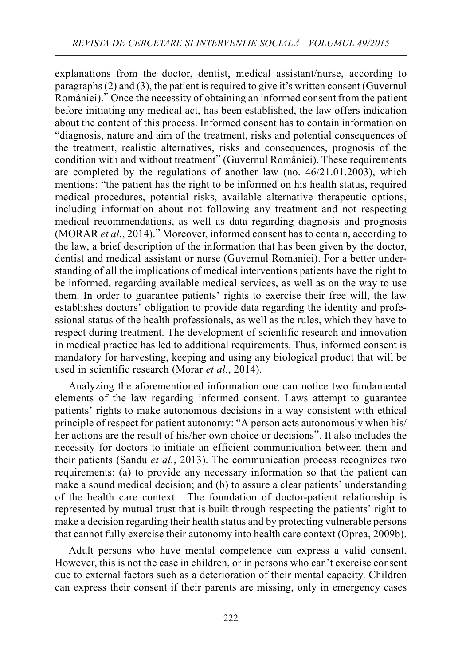explanations from the doctor, dentist, medical assistant/nurse, according to paragraphs (2) and (3), the patient is required to give it's written consent (Guvernul României)." Once the necessity of obtaining an informed consent from the patient before initiating any medical act, has been established, the law offers indication about the content of this process. Informed consent has to contain information on "diagnosis, nature and aim of the treatment, risks and potential consequences of the treatment, realistic alternatives, risks and consequences, prognosis of the condition with and without treatment" (Guvernul României). These requirements are completed by the regulations of another law (no. 46/21.01.2003), which mentions: "the patient has the right to be informed on his health status, required medical procedures, potential risks, available alternative therapeutic options, including information about not following any treatment and not respecting medical recommendations, as well as data regarding diagnosis and prognosis (MORAR *et al.*, 2014)." Moreover, informed consent has to contain, according to the law, a brief description of the information that has been given by the doctor, dentist and medical assistant or nurse (Guvernul Romaniei). For a better understanding of all the implications of medical interventions patients have the right to be informed, regarding available medical services, as well as on the way to use them. In order to guarantee patients' rights to exercise their free will, the law establishes doctors' obligation to provide data regarding the identity and professional status of the health professionals, as well as the rules, which they have to respect during treatment. The development of scientific research and innovation in medical practice has led to additional requirements. Thus, informed consent is mandatory for harvesting, keeping and using any biological product that will be used in scientific research (Morar *et al.*, 2014).

Analyzing the aforementioned information one can notice two fundamental elements of the law regarding informed consent. Laws attempt to guarantee patients' rights to make autonomous decisions in a way consistent with ethical principle of respect for patient autonomy: "A person acts autonomously when his/ her actions are the result of his/her own choice or decisions". It also includes the necessity for doctors to initiate an efficient communication between them and their patients (Sandu *et al.*, 2013). The communication process recognizes two requirements: (a) to provide any necessary information so that the patient can make a sound medical decision; and (b) to assure a clear patients' understanding of the health care context. The foundation of doctor-patient relationship is represented by mutual trust that is built through respecting the patients' right to make a decision regarding their health status and by protecting vulnerable persons that cannot fully exercise their autonomy into health care context (Oprea, 2009b).

Adult persons who have mental competence can express a valid consent. However, this is not the case in children, or in persons who can't exercise consent due to external factors such as a deterioration of their mental capacity. Children can express their consent if their parents are missing, only in emergency cases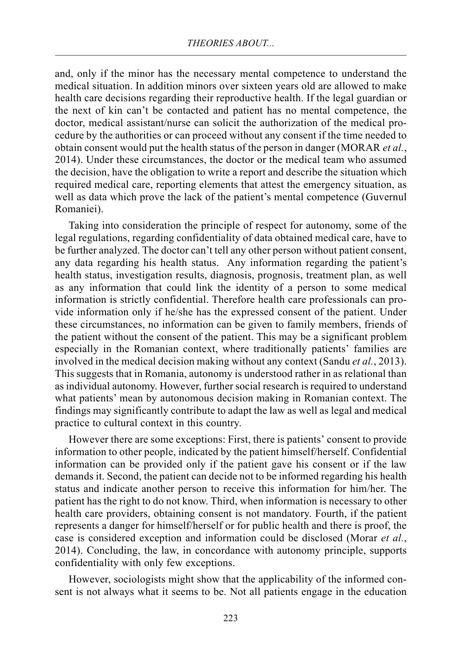and, only if the minor has the necessary mental competence to understand the medical situation. In addition minors over sixteen years old are allowed to make health care decisions regarding their reproductive health. If the legal guardian or the next of kin can't be contacted and patient has no mental competence, the doctor, medical assistant/nurse can solicit the authorization of the medical procedure by the authorities or can proceed without any consent if the time needed to obtain consent would put the health status of the person in danger (MORAR *et al.*, 2014). Under these circumstances, the doctor or the medical team who assumed the decision, have the obligation to write a report and describe the situation which required medical care, reporting elements that attest the emergency situation, as well as data which prove the lack of the patient's mental competence (Guvernul Romaniei).

Taking into consideration the principle of respect for autonomy, some of the legal regulations, regarding confidentiality of data obtained medical care, have to be further analyzed. The doctor can't tell any other person without patient consent, any data regarding his health status. Any information regarding the patient's health status, investigation results, diagnosis, prognosis, treatment plan, as well as any information that could link the identity of a person to some medical information is strictly confidential. Therefore health care professionals can provide information only if he/she has the expressed consent of the patient. Under these circumstances, no information can be given to family members, friends of the patient without the consent of the patient. This may be a significant problem especially in the Romanian context, where traditionally patients' families are involved in the medical decision making without any context (Sandu *et al.*, 2013). This suggests that in Romania, autonomy is understood rather in as relational than as individual autonomy. However, further social research is required to understand what patients' mean by autonomous decision making in Romanian context. The findings may significantly contribute to adapt the law as well as legal and medical practice to cultural context in this country.

However there are some exceptions: First, there is patients' consent to provide information to other people, indicated by the patient himself/herself. Confidential information can be provided only if the patient gave his consent or if the law demands it. Second, the patient can decide not to be informed regarding his health status and indicate another person to receive this information for him/her. The patient has the right to do not know. Third, when information is necessary to other health care providers, obtaining consent is not mandatory. Fourth, if the patient represents a danger for himself/herself or for public health and there is proof, the case is considered exception and information could be disclosed (Morar *et al.*, 2014). Concluding, the law, in concordance with autonomy principle, supports confidentiality with only few exceptions.

However, sociologists might show that the applicability of the informed consent is not always what it seems to be. Not all patients engage in the education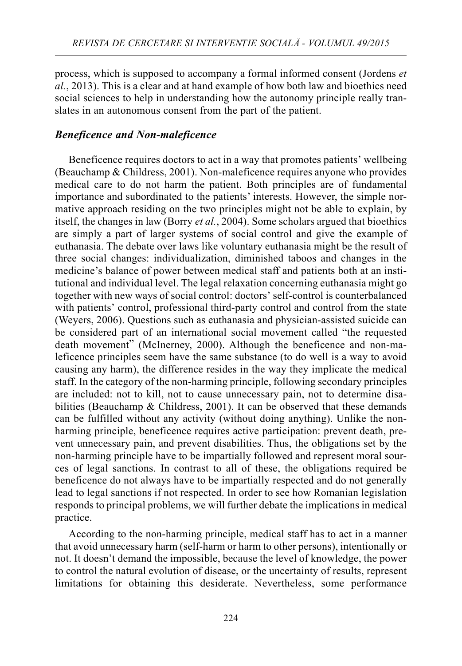process, which is supposed to accompany a formal informed consent (Jordens *et al.*, 2013). This is a clear and at hand example of how both law and bioethics need social sciences to help in understanding how the autonomy principle really translates in an autonomous consent from the part of the patient.

## *Beneficence and Non-maleficence*

Beneficence requires doctors to act in a way that promotes patients' wellbeing (Beauchamp & Childress, 2001). Non-maleficence requires anyone who provides medical care to do not harm the patient. Both principles are of fundamental importance and subordinated to the patients' interests. However, the simple normative approach residing on the two principles might not be able to explain, by itself, the changes in law (Borry *et al.*, 2004). Some scholars argued that bioethics are simply a part of larger systems of social control and give the example of euthanasia. The debate over laws like voluntary euthanasia might be the result of three social changes: individualization, diminished taboos and changes in the medicine's balance of power between medical staff and patients both at an institutional and individual level. The legal relaxation concerning euthanasia might go together with new ways of social control: doctors' self-control is counterbalanced with patients' control, professional third-party control and control from the state (Weyers, 2006). Questions such as euthanasia and physician-assisted suicide can be considered part of an international social movement called "the requested death movement" (McInerney, 2000). Although the beneficence and non-maleficence principles seem have the same substance (to do well is a way to avoid causing any harm), the difference resides in the way they implicate the medical staff. In the category of the non-harming principle, following secondary principles are included: not to kill, not to cause unnecessary pain, not to determine disabilities (Beauchamp & Childress, 2001). It can be observed that these demands can be fulfilled without any activity (without doing anything). Unlike the nonharming principle, beneficence requires active participation: prevent death, prevent unnecessary pain, and prevent disabilities. Thus, the obligations set by the non-harming principle have to be impartially followed and represent moral sources of legal sanctions. In contrast to all of these, the obligations required be beneficence do not always have to be impartially respected and do not generally lead to legal sanctions if not respected. In order to see how Romanian legislation responds to principal problems, we will further debate the implications in medical practice.

According to the non-harming principle, medical staff has to act in a manner that avoid unnecessary harm (self-harm or harm to other persons), intentionally or not. It doesn't demand the impossible, because the level of knowledge, the power to control the natural evolution of disease, or the uncertainty of results, represent limitations for obtaining this desiderate. Nevertheless, some performance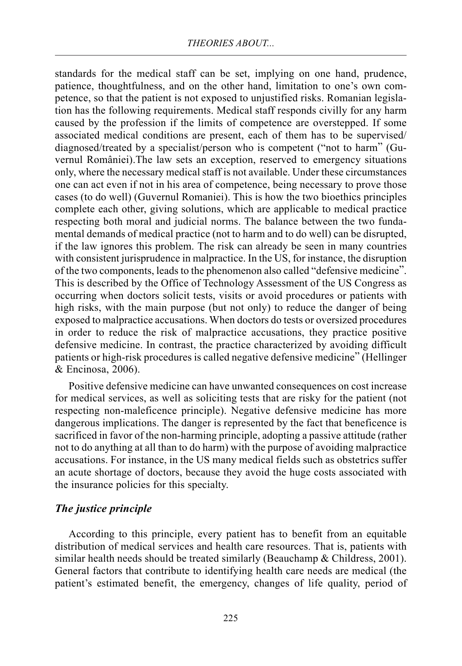standards for the medical staff can be set, implying on one hand, prudence, patience, thoughtfulness, and on the other hand, limitation to one's own competence, so that the patient is not exposed to unjustified risks. Romanian legislation has the following requirements. Medical staff responds civilly for any harm caused by the profession if the limits of competence are overstepped. If some associated medical conditions are present, each of them has to be supervised/ diagnosed/treated by a specialist/person who is competent ("not to harm" (Guvernul României). The law sets an exception, reserved to emergency situations only, where the necessary medical staff is not available. Under these circumstances one can act even if not in his area of competence, being necessary to prove those cases (to do well) (Guvernul Romaniei). This is how the two bioethics principles complete each other, giving solutions, which are applicable to medical practice respecting both moral and judicial norms. The balance between the two fundamental demands of medical practice (not to harm and to do well) can be disrupted, if the law ignores this problem. The risk can already be seen in many countries with consistent jurisprudence in malpractice. In the US, for instance, the disruption of the two components, leads to the phenomenon also called "defensive medicine". This is described by the Office of Technology Assessment of the US Congress as occurring when doctors solicit tests, visits or avoid procedures or patients with high risks, with the main purpose (but not only) to reduce the danger of being exposed to malpractice accusations. When doctors do tests or oversized procedures in order to reduce the risk of malpractice accusations, they practice positive defensive medicine. In contrast, the practice characterized by avoiding difficult patients or high-risk procedures is called negative defensive medicine" (Hellinger & Encinosa, 2006).

Positive defensive medicine can have unwanted consequences on cost increase for medical services, as well as soliciting tests that are risky for the patient (not respecting non-maleficence principle). Negative defensive medicine has more dangerous implications. The danger is represented by the fact that beneficence is sacrificed in favor of the non-harming principle, adopting a passive attitude (rather not to do anything at all than to do harm) with the purpose of avoiding malpractice accusations. For instance, in the US many medical fields such as obstetrics suffer an acute shortage of doctors, because they avoid the huge costs associated with the insurance policies for this specialty.

#### *The justice principle*

According to this principle, every patient has to benefit from an equitable distribution of medical services and health care resources. That is, patients with similar health needs should be treated similarly (Beauchamp & Childress, 2001). General factors that contribute to identifying health care needs are medical (the patient's estimated benefit, the emergency, changes of life quality, period of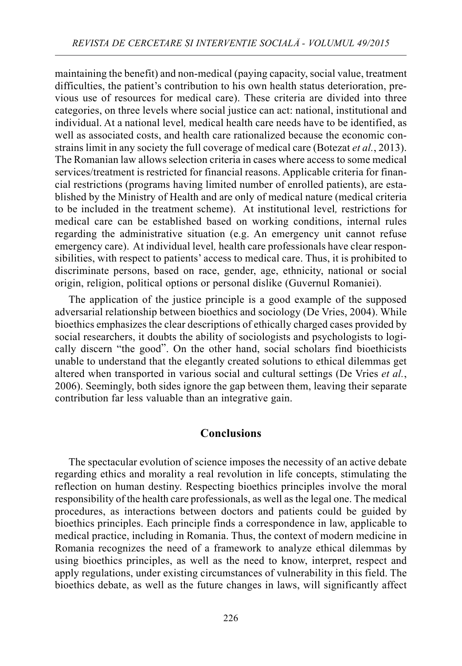maintaining the benefit) and non-medical (paying capacity, social value, treatment difficulties, the patient's contribution to his own health status deterioration, previous use of resources for medical care). These criteria are divided into three categories, on three levels where social justice can act: national, institutional and individual. At a national level*,* medical health care needs have to be identified, as well as associated costs, and health care rationalized because the economic constrains limit in any society the full coverage of medical care (Botezat *et al.*, 2013). The Romanian law allows selection criteria in cases where access to some medical services/treatment is restricted for financial reasons. Applicable criteria for financial restrictions (programs having limited number of enrolled patients), are established by the Ministry of Health and are only of medical nature (medical criteria to be included in the treatment scheme). At institutional level*,* restrictions for medical care can be established based on working conditions, internal rules regarding the administrative situation (e.g. An emergency unit cannot refuse emergency care). At individual level*,* health care professionals have clear responsibilities, with respect to patients' access to medical care. Thus, it is prohibited to discriminate persons, based on race, gender, age, ethnicity, national or social origin, religion, political options or personal dislike (Guvernul Romaniei).

The application of the justice principle is a good example of the supposed adversarial relationship between bioethics and sociology (De Vries, 2004). While bioethics emphasizes the clear descriptions of ethically charged cases provided by social researchers, it doubts the ability of sociologists and psychologists to logically discern "the good". On the other hand, social scholars find bioethicists unable to understand that the elegantly created solutions to ethical dilemmas get altered when transported in various social and cultural settings (De Vries *et al.*, 2006). Seemingly, both sides ignore the gap between them, leaving their separate contribution far less valuable than an integrative gain.

#### **Conclusions**

The spectacular evolution of science imposes the necessity of an active debate regarding ethics and morality a real revolution in life concepts, stimulating the reflection on human destiny. Respecting bioethics principles involve the moral responsibility of the health care professionals, as well as the legal one. The medical procedures, as interactions between doctors and patients could be guided by bioethics principles. Each principle finds a correspondence in law, applicable to medical practice, including in Romania. Thus, the context of modern medicine in Romania recognizes the need of a framework to analyze ethical dilemmas by using bioethics principles, as well as the need to know, interpret, respect and apply regulations, under existing circumstances of vulnerability in this field. The bioethics debate, as well as the future changes in laws, will significantly affect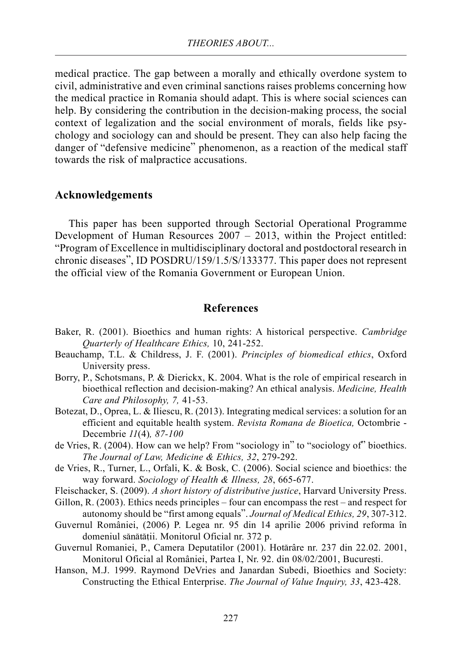medical practice. The gap between a morally and ethically overdone system to civil, administrative and even criminal sanctions raises problems concerning how the medical practice in Romania should adapt. This is where social sciences can help. By considering the contribution in the decision-making process, the social context of legalization and the social environment of morals, fields like psychology and sociology can and should be present. They can also help facing the danger of "defensive medicine" phenomenon, as a reaction of the medical staff towards the risk of malpractice accusations.

#### **Acknowledgements**

This paper has been supported through Sectorial Operational Programme Development of Human Resources 2007 – 2013, within the Project entitled: "Program of Excellence in multidisciplinary doctoral and postdoctoral research in chronic diseases", ID POSDRU/159/1.5/S/133377. This paper does not represent the official view of the Romania Government or European Union.

#### **References**

- Baker, R. (2001). Bioethics and human rights: A historical perspective. *Cambridge Quarterly of Healthcare Ethics,* 10, 241-252.
- Beauchamp, T.L. & Childress, J. F. (2001). *Principles of biomedical ethics*, Oxford University press.
- Borry, P., Schotsmans, P. & Dierickx, K. 2004. What is the role of empirical research in bioethical reflection and decision-making? An ethical analysis. *Medicine, Health Care and Philosophy, 7,* 41-53.
- Botezat, D., Oprea, L. & Iliescu, R. (2013). Integrating medical services: a solution for an efficient and equitable health system. *Revista Romana de Bioetica,* Octombrie - Decembrie *11*(4)*, 87-100*
- de Vries, R. (2004). How can we help? From "sociology in" to "sociology of" bioethics. *The Journal of Law, Medicine & Ethics, 32*, 279-292.
- de Vries, R., Turner, L., Orfali, K. & Bosk, C. (2006). Social science and bioethics: the way forward. *Sociology of Health & Illness, 28*, 665-677.
- Fleischacker, S. (2009). *A short history of distributive justice*, Harvard University Press.
- Gillon, R. (2003). Ethics needs principles four can encompass the rest and respect for autonomy should be "first among equals". *Journal of Medical Ethics, 29*, 307-312.
- Guvernul României, (2006) P. Legea nr. 95 din 14 aprilie 2006 privind reforma în domeniul sănătătii. Monitorul Oficial nr. 372 p.
- Guvernul Romaniei, P., Camera Deputatilor (2001). Hotărâre nr. 237 din 22.02. 2001, Monitorul Oficial al României, Partea I, Nr. 92. din 08/02/2001, Bucuresti.
- Hanson, M.J. 1999. Raymond DeVries and Janardan Subedi, Bioethics and Society: Constructing the Ethical Enterprise. *The Journal of Value Inquiry, 33*, 423-428.